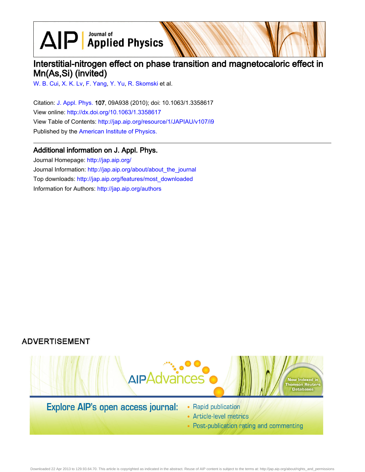$\text{AlP}$  Applied Physics

# Interstitial-nitrogen effect on phase transition and magnetocaloric effect in Mn(As,Si) (invited)

[W. B. Cui](http://jap.aip.org/search?sortby=newestdate&q=&searchzone=2&searchtype=searchin&faceted=faceted&key=AIP_ALL&possible1=W. B. Cui&possible1zone=author&alias=&displayid=AIP&ver=pdfcov), [X. K. Lv,](http://jap.aip.org/search?sortby=newestdate&q=&searchzone=2&searchtype=searchin&faceted=faceted&key=AIP_ALL&possible1=X. K. Lv&possible1zone=author&alias=&displayid=AIP&ver=pdfcov) [F. Yang](http://jap.aip.org/search?sortby=newestdate&q=&searchzone=2&searchtype=searchin&faceted=faceted&key=AIP_ALL&possible1=F. Yang&possible1zone=author&alias=&displayid=AIP&ver=pdfcov), [Y. Yu](http://jap.aip.org/search?sortby=newestdate&q=&searchzone=2&searchtype=searchin&faceted=faceted&key=AIP_ALL&possible1=Y. Yu&possible1zone=author&alias=&displayid=AIP&ver=pdfcov), [R. Skomski](http://jap.aip.org/search?sortby=newestdate&q=&searchzone=2&searchtype=searchin&faceted=faceted&key=AIP_ALL&possible1=R. Skomski&possible1zone=author&alias=&displayid=AIP&ver=pdfcov) et al.

Citation: [J. Appl. Phys.](http://jap.aip.org/?ver=pdfcov) 107, 09A938 (2010); doi: 10.1063/1.3358617 View online: [http://dx.doi.org/10.1063/1.3358617](http://link.aip.org/link/doi/10.1063/1.3358617?ver=pdfcov) View Table of Contents: [http://jap.aip.org/resource/1/JAPIAU/v107/i9](http://jap.aip.org/resource/1/JAPIAU/v107/i9?ver=pdfcov) Published by the [American Institute of Physics.](http://www.aip.org/?ver=pdfcov)

### Additional information on J. Appl. Phys.

Journal Homepage: [http://jap.aip.org/](http://jap.aip.org/?ver=pdfcov) Journal Information: [http://jap.aip.org/about/about\\_the\\_journal](http://jap.aip.org/about/about_the_journal?ver=pdfcov) Top downloads: [http://jap.aip.org/features/most\\_downloaded](http://jap.aip.org/features/most_downloaded?ver=pdfcov) Information for Authors: [http://jap.aip.org/authors](http://jap.aip.org/authors?ver=pdfcov)

### **ADVERTISEMENT**



- Article-level metrics
- Post-publication rating and commenting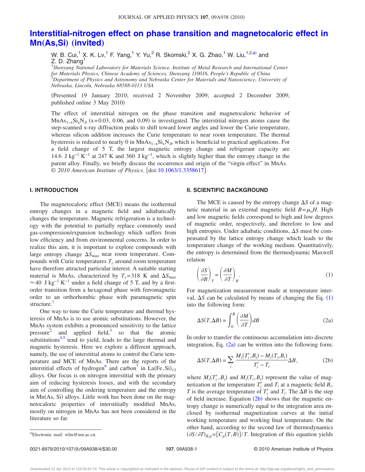## **[Interstitial-nitrogen effect on phase transition and magnetocaloric effect in](http://dx.doi.org/10.1063/1.3358617) Mn**"**As,Si**… "**[invited](http://dx.doi.org/10.1063/1.3358617)**…

W. B. Cui,<sup>1</sup> X. K. Lv,<sup>1</sup> F. Yang,<sup>1</sup> Y. Yu,<sup>2</sup> R. Skomski,<sup>2</sup> X. G. Zhao,<sup>1</sup> W. Liu,<sup>1,2,a)</sup> and Z. D. Zhang<sup>1</sup>

1 *Shenyang National Laboratory for Materials Science, Institute of Metal Research and International Center for Materials Physics, Chinese Academy of Sciences, Shenyang 110016, People's Republic of China* 2 *Department of Physics and Astronomy and Nebraska Center for Materials and Nanoscience, University of Nebraska, Lincoln, Nebraska 68588-0113 USA*

Presented 19 January 2010; received 2 November 2009; accepted 2 December 2009; published online 3 May 2010)

The effect of interstitial nitrogen on the phase transition and magnetocaloric behavior of MnAs<sub>1-x</sub>Si<sub>x</sub>N<sub>δ</sub> (x=0.03, 0.06, and 0.09) is investigated. The interstitial nitrogen atoms cause the step-scanned x-ray diffraction peaks to shift toward lower angles and lower the Curie temperature, whereas silicon addition increases the Curie temperature to near room temperature. The thermal hysteresis is reduced to nearly 0 in MnAs<sub>1−x</sub>Si<sub>x</sub>N<sub>δ</sub>, which is beneficial to practical applications. For a field change of 5 T, the largest magnetic entropy change and refrigerant capacity are 14.6 J kg<sup>-1</sup> K<sup>-1</sup> at 247 K and 360 J kg<sup>-1</sup>, which is slightly higher than the entropy change in the parent alloy. Finally, we briefly discuss the occurrence and origin of the "virgin effect" in MnAs. © *2010 American Institute of Physics*. doi[:10.1063/1.3358617](http://dx.doi.org/10.1063/1.3358617)

#### **I. INTRODUCTION**

The magnetocaloric effect (MCE) means the isothermal entropy changes in a magnetic field and adiabatically changes the temperature. Magnetic refrigeration is a technology with the potential to partially replace commonly used gas-compression/expansion technology which suffers from low efficiency and from environmental concerns. In order to realize this aim, it is important to explore compounds with large entropy change  $\Delta S_{\text{max}}$  near room temperature. Compounds with Curie temperatures  $T_c$  around room temperature have therefore attracted particular interest. A suitable starting material is MnAs, characterized by  $T_c = 318$  K and  $\Delta S_{\text{max}}$  $\approx$  40 J kg<sup>-1</sup> K<sup>-1</sup> under a field change of 5 T, and by a firstorder transition from a hexagonal phase with ferromagnetic order to an orthorhombic phase with paramagnetic spin structure.<sup>1</sup>

One way to tune the Curie temperature and thermal hysteresis of MnAs is to use atomic substitutions. However, the MnAs system exhibits a pronounced sensitivity to the lattice pressure and applied field, $3$  so that the atomic substitutions $4,5$  $4,5$  tend to yield, leads to the large thermal and magnetic hysteresis. Here we explore a different approach, namely, the use of interstitial atoms to control the Curie temperature and MCE of MnAs. There are the reports of the interstitial effects of hydrogen<sup>6</sup> and carbon<sup>7</sup> in  $La(Fe,Si)_{13}$ alloys. Our focus is on nitrogen interstitial with the primary aim of reducing hysteresis losses, and with the secondary aim of controlling the ordering temperature and the entropy in Mn(As, Si) alloys. Little work has been done on the magnetocaloric properties of interstitially modified MnAs, mostly on nitrogen in MnAs has not been considered in the literature so far.

#### **II. SCIENTIFIC BACKGROUND**

The MCE is caused by the entropy change  $\Delta S$  of a magnetic material in an external magnetic field  $B = \mu_0 H$ . High and low magnetic fields correspond to high and low degrees of magnetic order, respectively, and therefore to low and high entropies. Under adiabatic conditions,  $\Delta S$  must be compensated by the lattice entropy change which leads to the temperature change of the working medium. Quantitatively, the entropy is determined from the thermodynamic Maxwell relation

<span id="page-1-0"></span>
$$
\left(\frac{\partial S}{\partial B}\right)_T = \left(\frac{\partial M}{\partial T}\right)_B.
$$
\n(1)

For magnetization measurement made at temperature interval,  $\Delta S$  can be calculated by means of changing the Eq.  $(1)$  $(1)$  $(1)$ into the following form:

<span id="page-1-1"></span>
$$
\Delta S(T, \Delta B) = \int_0^B \left(\frac{\partial M}{\partial T}\right) dB
$$
\n(2a)

In order to transfer the continuous accumulation into discrete integration, Eq.  $(2a)$  $(2a)$  $(2a)$  can be written into the following form:

<span id="page-1-2"></span>
$$
\Delta S(T, \Delta B) = \sum_{i} \frac{M_i(T_i', B_i) - M_i(T_i, B_i)}{T_i' - T_i} \Delta B, \tag{2b}
$$

where  $M_i(T_i', B_i)$  and  $M_i(T_i, B_i)$  represent the value of magnetization at the temperature  $T_i'$  and  $T_i$  at a magnetic field  $B_i$ . *T* is the average temperature of  $T_i'$  and  $T_i$ . The  $\Delta B$  is the step of field increase. Equation  $(2b)$  $(2b)$  $(2b)$  shows that the magnetic entropy change is numerically equal to the integration area enclosed by isothermal magnetization curves at the initial working temperature and working final temperature. On the other hand, according to the second law of thermodynamics <sup>a)</sup>Electronic mail: wliu@imr.ac.cn.  $(\partial S/\partial T)_{B,p} = [C_p(T,B)]/T$ . Integration of this equation yields

Electronic mail: wliu@imr.ac.cn.

Downloaded 22 Apr 2013 to 129.93.64.70. This article is copyrighted as indicated in the abstract. Reuse of AIP content is subject to the terms at: http://jap.aip.org/about/rights\_and\_permissions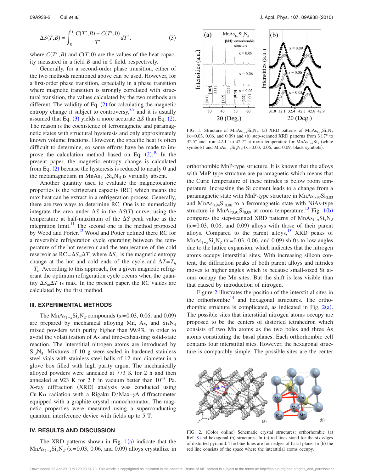<span id="page-2-0"></span>
$$
\Delta S(T,B) = \int_0^T \frac{C(T',B) - C(T',0)}{T'} dT', \tag{3}
$$

where  $C(T', B)$  and  $C(T, 0)$  are the values of the heat capacity measured in a field *B* and in 0 field, respectively.

Generally, for a second-order phase transition, either of the two methods mentioned above can be used. However, for a first-order phase transition, especially in a phase transition where magnetic transition is strongly correlated with structural transition, the values calculated by the two methods are different. The validity of Eq.  $(2)$  $(2)$  $(2)$  for calculating the magnetic entropy change it subject to controversy, $8,9$  $8,9$  and it is usually assumed that Eq.  $(3)$  $(3)$  $(3)$  yields a more accurate  $\Delta S$  than Eq.  $(2)$  $(2)$  $(2)$ . The reason is the coexistence of ferromagnetic and paramagnetic states with structural hysteresis and only approximately known volume fractions. However, the specific heat is often difficult to determine, so some efforts have be made to improve the calculation method based on Eq.  $(2)$  $(2)$  $(2)$ .<sup>[10](#page-4-9)</sup> In the present paper, the magnetic entropy change is calculated from Eq.  $(2)$  $(2)$  $(2)$  because the hysteresis is reduced to nearly 0 and the metamagnetism in MnAs<sub>1-x</sub>Si<sub>x</sub>N<sub>δ</sub> is virtually absent.

Another quantity used to evaluate the magnetocaloric properties is the refrigerant capacity (RC) which means the max heat can be extract in a refrigeration process. Generally, there are two ways to determine RC. One is to numerically integrate the area under  $\Delta S$  in the  $\Delta S(T)$  curve, using the temperature at half-maximum of the  $\Delta S$  peak value as the integration limit. $11$  The second one is the method proposed by Wood and Porter.<sup>12</sup> Wood and Potter defined there RC for a reversible refrigeration cycle operating between the temperature of the hot reservoir and the temperature of the cold reservoir as  $RC = \Delta S_m \Delta T$ , where  $\Delta S_m$  is the magnetic entropy change at the hot and cold ends of the cycle and  $\Delta T = T_h$ −*Tc*. According to this approach, for a given magnetic refrigerant the optimum refrigeration cycle occurs when the quantity  $\Delta S_m \Delta T$  is max. In the present paper, the RC values are calculated by the first method.

#### **III. EXPERIMENTAL METHODS**

The MnAs<sub>1-x</sub>Si<sub>x</sub>N<sub>δ</sub> compounds (x=0.03, 0.06, and 0.09) are prepared by mechanical alloying Mn, As, and  $Si<sub>3</sub>N<sub>4</sub>$ mixed powders with purity higher than 99.9%, in order to avoid the volatilization of As and time-exhausting solid-state reaction. The interstitial nitrogen atoms are introduced by  $Si<sub>3</sub>N<sub>4</sub>$ . Mixtures of 10 g were sealed in hardened stainless steel vials with stainless steel balls of 12 mm diameter in a glove box filled with high purity argon. The mechanically alloyed powders were annealed at 773 K for 2 h and then annealed at 923 K for 2 h in vacuum better than 10−3 Pa. X-ray diffraction (XRD) analysis was conducted using Cu K $\alpha$  radiation with a Rigaku D/Max- $\gamma$ A diffractometer equipped with a graphite crystal monochromator. The magnetic properties were measured using a superconducting quantum interference device with fields up to 5 T.

#### **IV. RESULTS AND DISCUSSION**

The XRD patterns shown in Fig.  $1(a)$  $1(a)$  indicate that the MnAs<sub>1-x</sub>Si<sub>x</sub>N<sub>δ</sub> (x=0.03, 0.06, and 0.09) alloys crystallize in

<span id="page-2-1"></span>

FIG. 1. Structure of MnAs<sub>1-x</sub>Si<sub>x</sub>N<sub>δ</sub>: (a) XRD patterns of MnAs<sub>1-x</sub>Si<sub>x</sub>N<sub>δ</sub>  $(x=0.03, 0.06,$  and 0.09) and (b) step-scanned XRD patterns from 31.7° to 32.5° and from 42.1° to 42.7° at room temperature for  $MnAs_{1-x}Si_x$  (white symbols) and  $MnAs_{1-x}Si_xN_\delta$  (x=0.03, 0.06, and 0.09, black symbols).

orthorhombic MnP-type structure. It is known that the alloys with MnP-type structure are paramagnetic which means that the Curie temperature of these nitrides is below room temperature. Increasing the Si content leads to a change from a paramagnetic state with MnP-type structure in  $MnAs<sub>0.97</sub>Si<sub>0.03</sub>$ and  $MnAs<sub>0.94</sub>Si<sub>0.06</sub>$  to a ferromagnetic state with NiAs-type structure in  $MnAs<sub>0.91</sub>Si<sub>0.09</sub>$  $MnAs<sub>0.91</sub>Si<sub>0.09</sub>$  $MnAs<sub>0.91</sub>Si<sub>0.09</sub>$  at room temperature.<sup>13</sup> Fig. 1(b) compares the step-scanned XRD patterns of MnAs<sub>1-x</sub>Si<sub>x</sub>N<sub>δ</sub>  $(x=0.03, 0.06,$  and  $(0.09)$  alloys with those of their parent alloys. Compared to the parent alloys, $13$  XRD peaks of  $MnAs<sub>1-x</sub>Si<sub>x</sub>N<sub>δ</sub>$  (x=0.03, 0.06, and 0.09) shifts to low angles due to the lattice expansion, which indicates that the nitrogen atoms occupy interstitial sites. With increasing silicon content, the diffraction peaks of both parent alloys and nitrides moves to higher angles which is because small-sized Si atoms occupy the Mn sites. But the shift is less visible than that caused by introduction of nitrogen.

Figure [2](#page-2-2) illustrates the position of the interstitial sites in the orthorhombic $14$  and hexagonal structures. The orthorhombic structure is complicated, as indicated in Fig.  $2(a)$  $2(a)$ . The possible sites that interstitial nitrogen atoms occupy are proposed to be the centers of distorted tetrahedron which consists of two Mn atoms as the two poles and three As atoms constituting the basal planes. Each orthorhombic cell contains four interstitial sites. However, the hexagonal structure is comparably simple. The possible sites are the center

<span id="page-2-2"></span>

FIG. 2. (Color online) Schematic crystal structures: orthorhombic (a) Ref.  $8$  and hexagonal (b) structures. In (a) red lines stand for the six edges of distorted pyramid. The blue lines are four edges of basal plane. In (b) the red line consists of the space where the interstitial atoms occupy.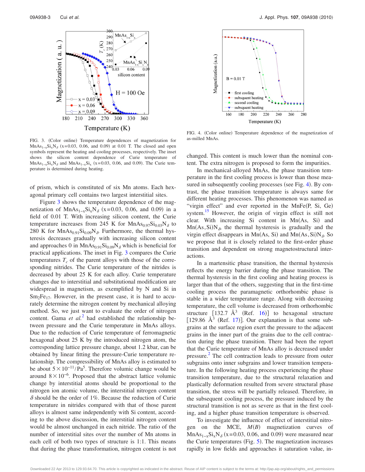<span id="page-3-0"></span>

FIG. 3. (Color online) Temperature dependences of magnetization for MnAs<sub>1-x</sub>Si<sub>x</sub>N<sub>δ</sub> (x=0.03, 0.06, and 0.09) at 0.01 T. The closed and open symbols represent the heating and cooling processes, respectively. The inset shows the silicon content dependence of Curie temperature of  $MnAs<sub>1-x</sub>Si<sub>x</sub>N<sub>δ</sub>$  and  $MnAs<sub>1-x</sub>Si<sub>x</sub>$  (x=0.03, 0.06, and 0.09). The Curie temperature is determined during heating.

of prism, which is constituted of six Mn atoms. Each hexagonal primary cell contains two largest interstitial sites.

Figure [3](#page-3-0) shows the temperature dependence of the magnetization of  $MnAs_{1-x}Si_xN_\delta$  (x=0.03, 0.06, and 0.09) in a field of 0.01 T. With increasing silicon content, the Curie temperature increases from 245 K for  $MnAs<sub>0.97</sub>Si<sub>0.03</sub>N<sub>δ</sub>$  to 280 K for  $MnAs<sub>0.91</sub>Si<sub>0.09</sub>N<sub>δ</sub>$ . Furthermore, the thermal hysteresis decreases gradually with increasing silicon content and approaches 0 in  $MnAs<sub>0.91</sub>Si<sub>0.09</sub>N<sub>δ</sub>$  which is beneficial for practical applications. The inset in Fig. [3](#page-3-0) compares the Curie temperatures  $T_c$  of the parent alloys with those of the corresponding nitrides. The Curie temperature of the nitrides is decreased by about 25 K for each alloy. Curie temperature changes due to interstitial and substitutional modification are widespread in magnetism, as exemplified by N and Si in  $Sm<sub>2</sub>Fe<sub>17</sub>$ . However, in the present case, it is hard to accurately determine the nitrogen content by mechanical alloying method. So, we just want to evaluate the order of nitrogen content. Gama *et al.*[2](#page-4-1) had established the relationship between pressure and the Curie temperature in MnAs alloys. Due to the reduction of Curie temperature of ferromagnetic hexagonal about 25 K by the introduced nitrogen atom, the corresponding lattice pressure change, about 1.2 kbar, can be obtained by linear fitting the pressure-Curie temperature relationship. The compressibility of MnAs alloy is estimated to be about  $5 \times 10^{-11}$ /Pa<sup>5</sup>. Therefore volumic change would be around  $8\times10^{-6}$ . Proposed that the abstract lattice volumic change by interstitial atoms should be proportional to the nitrogen ion atomic volume, the interstitial nitrogen content  $\delta$  should be the order of 1%. Because the reduction of Curie temperature in nitrides compared with that of those parent alloys is almost same independently with Si content, according to the above discussion, the interstitial nitrogen content would be almost unchanged in each nitride. The ratio of the number of interstitial sites over the number of Mn atoms in each cell of both two types of structure is 1:1. This means that during the phase transformation, nitrogen content is not

<span id="page-3-1"></span>

FIG. 4. (Color online) Temperature dependence of the magnetization of as-milled MnAs.

changed. This content is much lower than the nominal content. The extra nitrogen is proposed to form the impurities.

In mechanical-alloyed MnAs, the phase transition temperature in the first cooling process is lower than those mea-sured in subsequently cooling processes (see Fig. [4](#page-3-1)). By contrast, the phase transition temperature is always same for different heating processes. This phenomenon was named as "virgin effect" and ever reported in the MnFe(P, Si, Ge) system.<sup>15</sup> However, the origin of virgin effect is still not clear. With increasing Si content in  $Mn(As, Si)$  and  $Mn(As, Si)N_{\delta}$ , the thermal hysteresis is gradually and the virgin effect disappears in Mn(As, Si) and Mn(As, Si)N<sub> $\delta$ </sub>. So we propose that it is closely related to the first-order phase transition and dependent on strong magnetostructural interactions.

In a martensitic phase transition, the thermal hysteresis reflects the energy barrier during the phase transition. The thermal hysteresis in the first cooling and heating process is larger than that of the others, suggesting that in the first-time cooling process the paramagnetic orthorhombic phase is stable in a wider temperature range. Along with decreasing temperature, the cell volume is decreased from orthorhombic structure  $\begin{bmatrix} 132.7 \end{bmatrix}$   $\mathring{A}^3$  (Ref. [16](#page-4-15)) to hexagonal structure [129.86  $\AA^3$  (Ref. [17](#page-4-16))]. Our explanation is that some subgrains at the surface region exert the pressure to the adjacent grains in the inner part of the grains due to the cell contraction during the phase transition. There had been the report that the Curie temperature of MnAs alloy is decreased under pressure.<sup>[2](#page-4-1)</sup> The cell contraction leads to pressure from outer subgrains onto inner subgrains and lower transition temperature. In the following heating process experiencing the phase transition temperature, due to the structural relaxation and plastically deformation resulted from severe structural phase transition, the stress will be partially released. Therefore, in the subsequent cooling process, the pressure induced by the structural transition is not as severe as that in the first cooling, and a higher phase transition temperature is observed.

To investigate the influence of effect of interstitial nitrogen on the MCE,  $M(B)$  magnetization curves of MnAs<sub>1-x</sub>Si<sub>x</sub>N<sub> $\delta$ </sub> (x=0.03, 0.06, and 0.09) were measured near the Curie temperatures (Fig.  $5$ ). The magnetization increases rapidly in low fields and approaches it saturation value, in-